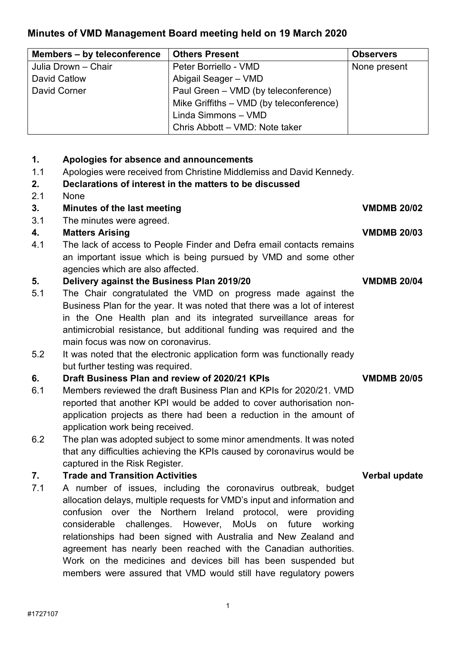# **Minutes of VMD Management Board meeting held on 19 March 2020**

| Members - by teleconference | <b>Others Present</b>                    | <b>Observers</b> |
|-----------------------------|------------------------------------------|------------------|
| Julia Drown - Chair         | Peter Borriello - VMD                    | None present     |
| David Catlow                | Abigail Seager - VMD                     |                  |
| David Corner                | Paul Green - VMD (by teleconference)     |                  |
|                             | Mike Griffiths - VMD (by teleconference) |                  |
|                             | Linda Simmons - VMD                      |                  |
|                             | Chris Abbott - VMD: Note taker           |                  |

## **1. Apologies for absence and announcements**

1.1 Apologies were received from Christine Middlemiss and David Kennedy.

### **2. Declarations of interest in the matters to be discussed**

2.1 None

## **3. Minutes of the last meeting VMDMB 20/02**

3.1 The minutes were agreed.

## **4. Matters Arising VMDMB 20/03**

 4.1 The lack of access to People Finder and Defra email contacts remains agencies which are also affected. an important issue which is being pursued by VMD and some other

## **5. Delivery against the Business Plan 2019/20 VMDMB 20/04**

- Business Plan for the year. It was noted that there was a lot of interest 5.1 The Chair congratulated the VMD on progress made against the in the One Health plan and its integrated surveillance areas for antimicrobial resistance, but additional funding was required and the main focus was now on coronavirus.
- 5.2 It was noted that the electronic application form was functionally ready but further testing was required.

## **6. Draft Business Plan and review of 2020/21 KPIs VMDMB 20/05**

- application work being received. 6.1 Members reviewed the draft Business Plan and KPIs for 2020/21. VMD reported that another KPI would be added to cover authorisation nonapplication projects as there had been a reduction in the amount of
- 6.2 The plan was adopted subject to some minor amendments. It was noted that any difficulties achieving the KPIs caused by coronavirus would be captured in the Risk Register.

## **7. Trade and Transition Activities Verbal update**

 relationships had been signed with Australia and New Zealand and agreement has nearly been reached with the Canadian authorities. members were assured that VMD would still have regulatory powers 7.1 A number of issues, including the coronavirus outbreak, budget allocation delays, multiple requests for VMD's input and information and confusion over the Northern Ireland protocol, were providing considerable challenges. However, MoUs on future working Work on the medicines and devices bill has been suspended but